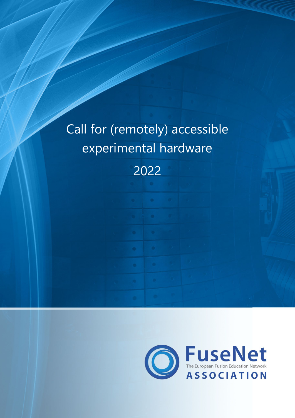# Call for (remotely) accessible experimental hardware

2022

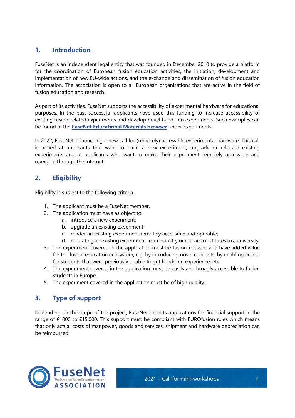# **1. Introduction**

FuseNet is an independent legal entity that was founded in December 2010 to provide a platform for the coordination of European fusion education activities, the initiation, development and implementation of new EU-wide actions, and the exchange and dissemination of fusion education information. The association is open to all European organisations that are active in the field of fusion education and research.

As part of its activities, FuseNet supports the accessibility of experimental hardware for educational purposes. In the past successful applicants have used this funding to increase accessibility of existing fusion-related experiments and develop novel hands-on experiments. Such examples can be found in the **[FuseNet Educational Materials browser](https://fusenet.eu/education/material)** under Experiments.

In 2022, FuseNet is launching a new call for (remotely) accessible experimental hardware. This call is aimed at applicants that want to build a new experiment, upgrade or relocate existing experiments and at applicants who want to make their experiment remotely accessible and operable through the internet.

# **2. Eligibility**

Eligibility is subject to the following criteria.

- 1. The applicant must be a FuseNet member.
- 2. The application must have as object to
	- a. introduce a new experiment;
	- b. upgrade an existing experiment;
	- c. render an existing experiment remotely accessible and operable;
	- d. relocating an existing experiment from industry or research institutes to a university.
- 3. The experiment covered in the application must be fusion-relevant and have added value for the fusion education ecosystem, e.g. by introducing novel concepts, by enabling access for students that were previously unable to get hands-on experience, etc.
- 4. The experiment covered in the application must be easily and broadly accessible to fusion students in Europe.
- 5. The experiment covered in the application must be of high quality.

#### **3. Type of support**

Depending on the scope of the project, FuseNet expects applications for financial support in the range of €1000 to €15,000. This support must be compliant with EUROfusion rules which means that only actual costs of manpower, goods and services, shipment and hardware depreciation can be reimbursed.